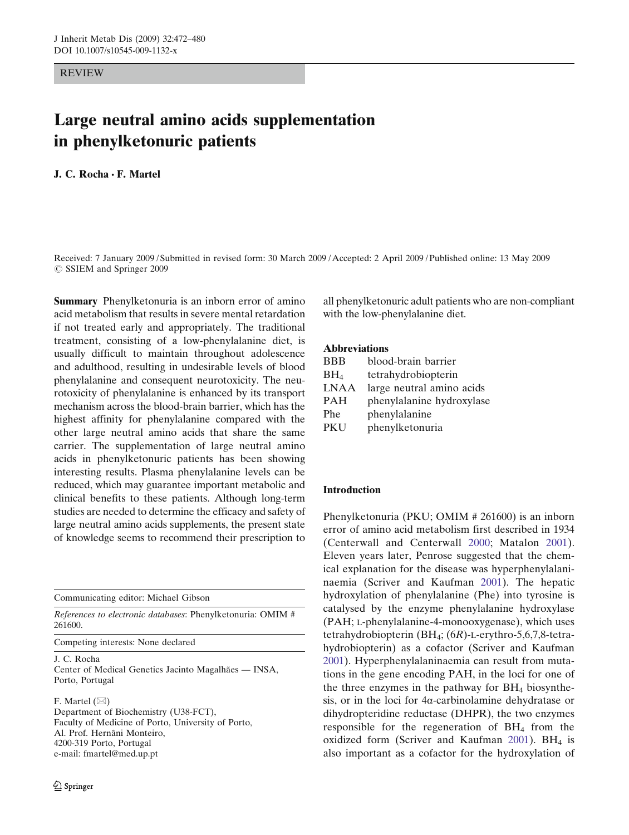REVIEW

# Large neutral amino acids supplementation in phenylketonuric patients

# J. C. Rocha · F. Martel

Received: 7 January 2009 / Submitted in revised form: 30 March 2009 /Accepted: 2 April 2009 /Published online: 13 May 2009  $\oslash$  SSIEM and Springer 2009

Summary Phenylketonuria is an inborn error of amino acid metabolism that results in severe mental retardation if not treated early and appropriately. The traditional treatment, consisting of a low-phenylalanine diet, is usually difficult to maintain throughout adolescence and adulthood, resulting in undesirable levels of blood phenylalanine and consequent neurotoxicity. The neurotoxicity of phenylalanine is enhanced by its transport mechanism across the blood-brain barrier, which has the highest affinity for phenylalanine compared with the other large neutral amino acids that share the same carrier. The supplementation of large neutral amino acids in phenylketonuric patients has been showing interesting results. Plasma phenylalanine levels can be reduced, which may guarantee important metabolic and clinical benefits to these patients. Although long-term studies are needed to determine the efficacy and safety of large neutral amino acids supplements, the present state of knowledge seems to recommend their prescription to

Communicating editor: Michael Gibson

References to electronic databases: Phenylketonuria: OMIM # 261600.

Competing interests: None declared

J. C. Rocha Center of Medical Genetics Jacinto Magalhães — INSA, Porto, Portugal

F. Martel  $(\boxtimes)$ 

Department of Biochemistry (U38-FCT), Faculty of Medicine of Porto, University of Porto, Al. Prof. Hernâni Monteiro, 4200-319 Porto, Portugal e-mail: fmartel@med.up.pt

all phenylketonuric adult patients who are non-compliant with the low-phenylalanine diet.

## Abbreviations

| <b>BBB</b>      | blood-brain barrier       |  |  |
|-----------------|---------------------------|--|--|
| BH <sub>4</sub> | tetrahydrobiopterin       |  |  |
| <b>LNAA</b>     | large neutral amino acids |  |  |
| <b>PAH</b>      | phenylalanine hydroxylase |  |  |
| Phe             | phenylalanine             |  |  |
| PKU             | phenylketonuria           |  |  |

### Introduction

Phenylketonuria (PKU; OMIM # 261600) is an inborn error of amino acid metabolism first described in 1934 (Centerwall and Centerwall [2000](#page-6-0); Matalon [2001\)](#page-7-0). Eleven years later, Penrose suggested that the chemical explanation for the disease was hyperphenylalaninaemia (Scriver and Kaufman [2001\)](#page-7-0). The hepatic hydroxylation of phenylalanine (Phe) into tyrosine is catalysed by the enzyme phenylalanine hydroxylase (PAH; L-phenylalanine-4-monooxygenase), which uses tetrahydrobiopterin (BH4; (6R)-L-erythro-5,6,7,8-tetrahydrobiopterin) as a cofactor (Scriver and Kaufman [2001](#page-7-0)). Hyperphenylalaninaemia can result from mutations in the gene encoding PAH, in the loci for one of the three enzymes in the pathway for  $BH<sub>4</sub>$  biosynthesis, or in the loci for  $4\alpha$ -carbinolamine dehydratase or dihydropteridine reductase (DHPR), the two enzymes responsible for the regeneration of  $BH<sub>4</sub>$  from the oxidized form (Scriver and Kaufman [2001](#page-7-0)). BH<sub>4</sub> is also important as a cofactor for the hydroxylation of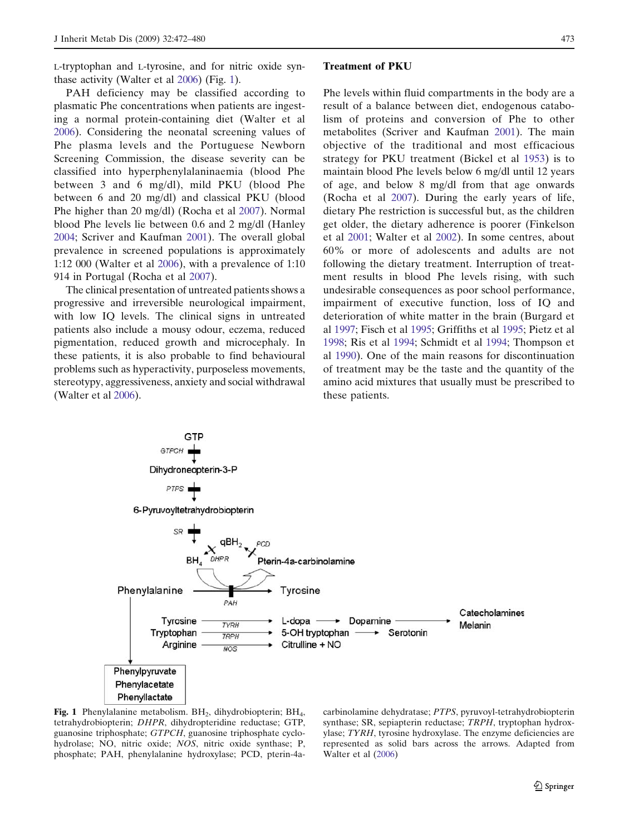L-tryptophan and L-tyrosine, and for nitric oxide synthase activity (Walter et al [2006\)](#page-8-0) (Fig. 1).

PAH deficiency may be classified according to plasmatic Phe concentrations when patients are ingesting a normal protein-containing diet (Walter et al [2006\)](#page-8-0). Considering the neonatal screening values of Phe plasma levels and the Portuguese Newborn Screening Commission, the disease severity can be classified into hyperphenylalaninaemia (blood Phe between 3 and 6 mg/dl), mild PKU (blood Phe between 6 and 20 mg/dl) and classical PKU (blood Phe higher than 20 mg/dl) (Rocha et al [2007](#page-7-0)). Normal blood Phe levels lie between 0.6 and 2 mg/dl (Hanley [2004;](#page-6-0) Scriver and Kaufman [2001\)](#page-7-0). The overall global prevalence in screened populations is approximately 1:12 000 (Walter et al [2006](#page-8-0)), with a prevalence of 1:10 914 in Portugal (Rocha et al [2007](#page-7-0)).

The clinical presentation of untreated patients shows a progressive and irreversible neurological impairment, with low IQ levels. The clinical signs in untreated patients also include a mousy odour, eczema, reduced pigmentation, reduced growth and microcephaly. In these patients, it is also probable to find behavioural problems such as hyperactivity, purposeless movements, stereotypy, aggressiveness, anxiety and social withdrawal (Walter et al [2006\)](#page-8-0).

#### Treatment of PKU

Phe levels within fluid compartments in the body are a result of a balance between diet, endogenous catabolism of proteins and conversion of Phe to other metabolites (Scriver and Kaufman [2001\)](#page-7-0). The main objective of the traditional and most efficacious strategy for PKU treatment (Bickel et al [1953](#page-6-0)) is to maintain blood Phe levels below 6 mg/dl until 12 years of age, and below 8 mg/dl from that age onwards (Rocha et al [2007\)](#page-7-0). During the early years of life, dietary Phe restriction is successful but, as the children get older, the dietary adherence is poorer (Finkelson et al [2001;](#page-6-0) Walter et al [2002\)](#page-8-0). In some centres, about 60% or more of adolescents and adults are not following the dietary treatment. Interruption of treatment results in blood Phe levels rising, with such undesirable consequences as poor school performance, impairment of executive function, loss of IQ and deterioration of white matter in the brain (Burgard et al [1997;](#page-6-0) Fisch et al [1995;](#page-6-0) Griffiths et al [1995;](#page-6-0) Pietz et al [1998](#page-7-0); Ris et al [1994;](#page-7-0) Schmidt et al [1994](#page-7-0); Thompson et al [1990](#page-7-0)). One of the main reasons for discontinuation of treatment may be the taste and the quantity of the amino acid mixtures that usually must be prescribed to these patients.



Fig. 1 Phenylalanine metabolism.  $BH<sub>2</sub>$ , dihydrobiopterin;  $BH<sub>4</sub>$ , tetrahydrobiopterin; DHPR, dihydropteridine reductase; GTP, guanosine triphosphate; GTPCH, guanosine triphosphate cyclohydrolase; NO, nitric oxide; NOS, nitric oxide synthase; P, phosphate; PAH, phenylalanine hydroxylase; PCD, pterin-4acarbinolamine dehydratase; PTPS, pyruvoyl-tetrahydrobiopterin synthase; SR, sepiapterin reductase; TRPH, tryptophan hydroxylase; TYRH, tyrosine hydroxylase. The enzyme deficiencies are represented as solid bars across the arrows. Adapted from Walter et al ([2006\)](#page-8-0)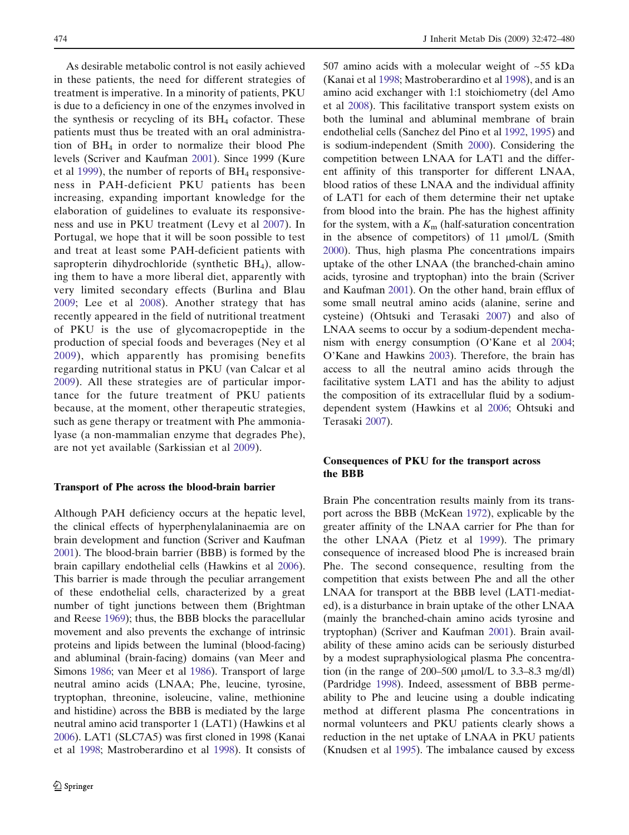As desirable metabolic control is not easily achieved in these patients, the need for different strategies of treatment is imperative. In a minority of patients, PKU is due to a deficiency in one of the enzymes involved in the synthesis or recycling of its  $BH<sub>4</sub>$  cofactor. These patients must thus be treated with an oral administration of  $BH<sub>4</sub>$  in order to normalize their blood Phe levels (Scriver and Kaufman [2001\)](#page-7-0). Since 1999 (Kure et al [1999](#page-6-0)), the number of reports of  $BH<sub>4</sub>$  responsiveness in PAH-deficient PKU patients has been increasing, expanding important knowledge for the elaboration of guidelines to evaluate its responsiveness and use in PKU treatment (Levy et al [2007\)](#page-7-0). In Portugal, we hope that it will be soon possible to test and treat at least some PAH-deficient patients with sapropterin dihydrochloride (synthetic  $BH<sub>4</sub>$ ), allowing them to have a more liberal diet, apparently with very limited secondary effects (Burlina and Blau [2009](#page-6-0); Lee et al [2008\)](#page-7-0). Another strategy that has recently appeared in the field of nutritional treatment of PKU is the use of glycomacropeptide in the production of special foods and beverages (Ney et al [2009\)](#page-7-0), which apparently has promising benefits regarding nutritional status in PKU (van Calcar et al [2009](#page-8-0)). All these strategies are of particular importance for the future treatment of PKU patients because, at the moment, other therapeutic strategies, such as gene therapy or treatment with Phe ammonialyase (a non-mammalian enzyme that degrades Phe), are not yet available (Sarkissian et al [2009\)](#page-7-0).

#### Transport of Phe across the blood-brain barrier

Although PAH deficiency occurs at the hepatic level, the clinical effects of hyperphenylalaninaemia are on brain development and function (Scriver and Kaufman [2001\)](#page-7-0). The blood-brain barrier (BBB) is formed by the brain capillary endothelial cells (Hawkins et al [2006\)](#page-6-0). This barrier is made through the peculiar arrangement of these endothelial cells, characterized by a great number of tight junctions between them (Brightman and Reese [1969\)](#page-6-0); thus, the BBB blocks the paracellular movement and also prevents the exchange of intrinsic proteins and lipids between the luminal (blood-facing) and abluminal (brain-facing) domains (van Meer and Simons [1986](#page-8-0); van Meer et al [1986\)](#page-8-0). Transport of large neutral amino acids (LNAA; Phe, leucine, tyrosine, tryptophan, threonine, isoleucine, valine, methionine and histidine) across the BBB is mediated by the large neutral amino acid transporter 1 (LAT1) (Hawkins et al [2006\)](#page-6-0). LAT1 (SLC7A5) was first cloned in 1998 (Kanai et al [1998;](#page-6-0) Mastroberardino et al [1998\)](#page-7-0). It consists of 507 amino acids with a molecular weight of ~55 kDa (Kanai et al [1998](#page-6-0); Mastroberardino et al [1998\)](#page-7-0), and is an amino acid exchanger with 1:1 stoichiometry (del Amo et al [2008](#page-6-0)). This facilitative transport system exists on both the luminal and abluminal membrane of brain endothelial cells (Sanchez del Pino et al [1992](#page-7-0), [1995](#page-7-0)) and is sodium-independent (Smith [2000](#page-7-0)). Considering the competition between LNAA for LAT1 and the different affinity of this transporter for different LNAA, blood ratios of these LNAA and the individual affinity of LAT1 for each of them determine their net uptake from blood into the brain. Phe has the highest affinity for the system, with a  $K<sub>m</sub>$  (half-saturation concentration in the absence of competitors) of 11  $\mu$ mol/L (Smith [2000\)](#page-7-0). Thus, high plasma Phe concentrations impairs uptake of the other LNAA (the branched-chain amino acids, tyrosine and tryptophan) into the brain (Scriver and Kaufman [2001](#page-7-0)). On the other hand, brain efflux of some small neutral amino acids (alanine, serine and cysteine) (Ohtsuki and Terasaki [2007](#page-7-0)) and also of LNAA seems to occur by a sodium-dependent mecha-nism with energy consumption (O'Kane et al [2004;](#page-7-0) O'Kane and Hawkins [2003](#page-7-0)). Therefore, the brain has access to all the neutral amino acids through the facilitative system LAT1 and has the ability to adjust the composition of its extracellular fluid by a sodiumdependent system (Hawkins et al [2006;](#page-6-0) Ohtsuki and Terasaki [2007\)](#page-7-0).

## Consequences of PKU for the transport across the BBB

Brain Phe concentration results mainly from its transport across the BBB (McKean [1972](#page-7-0)), explicable by the greater affinity of the LNAA carrier for Phe than for the other LNAA (Pietz et al [1999\)](#page-7-0). The primary consequence of increased blood Phe is increased brain Phe. The second consequence, resulting from the competition that exists between Phe and all the other LNAA for transport at the BBB level (LAT1-mediated), is a disturbance in brain uptake of the other LNAA (mainly the branched-chain amino acids tyrosine and tryptophan) (Scriver and Kaufman [2001](#page-7-0)). Brain availability of these amino acids can be seriously disturbed by a modest supraphysiological plasma Phe concentration (in the range of 200–500  $\mu$ mol/L to 3.3–8.3 mg/dl) (Pardridge [1998\)](#page-7-0). Indeed, assessment of BBB permeability to Phe and leucine using a double indicating method at different plasma Phe concentrations in normal volunteers and PKU patients clearly shows a reduction in the net uptake of LNAA in PKU patients (Knudsen et al [1995](#page-6-0)). The imbalance caused by excess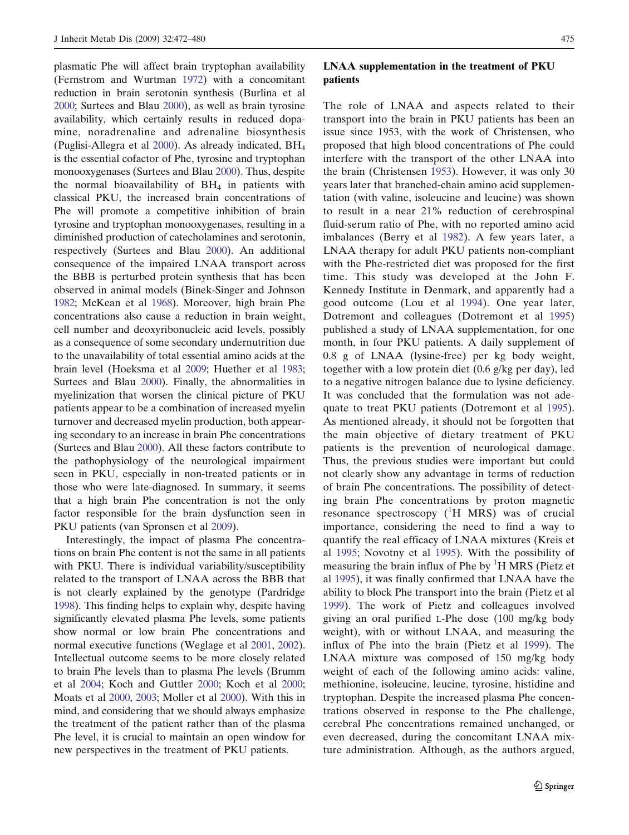plasmatic Phe will affect brain tryptophan availability (Fernstrom and Wurtman [1972](#page-6-0)) with a concomitant reduction in brain serotonin synthesis (Burlina et al [2000;](#page-6-0) Surtees and Blau [2000](#page-7-0)), as well as brain tyrosine availability, which certainly results in reduced dopamine, noradrenaline and adrenaline biosynthesis (Puglisi-Allegra et al [2000\)](#page-7-0). As already indicated, BH4 is the essential cofactor of Phe, tyrosine and tryptophan monooxygenases (Surtees and Blau [2000\)](#page-7-0). Thus, despite the normal bioavailability of  $BH<sub>4</sub>$  in patients with classical PKU, the increased brain concentrations of Phe will promote a competitive inhibition of brain tyrosine and tryptophan monooxygenases, resulting in a diminished production of catecholamines and serotonin, respectively (Surtees and Blau [2000\)](#page-7-0). An additional consequence of the impaired LNAA transport across the BBB is perturbed protein synthesis that has been observed in animal models (Binek-Singer and Johnson [1982;](#page-6-0) McKean et al [1968](#page-7-0)). Moreover, high brain Phe concentrations also cause a reduction in brain weight, cell number and deoxyribonucleic acid levels, possibly as a consequence of some secondary undernutrition due to the unavailability of total essential amino acids at the brain level (Hoeksma et al [2009](#page-6-0); Huether et al [1983;](#page-6-0) Surtees and Blau [2000\)](#page-7-0). Finally, the abnormalities in myelinization that worsen the clinical picture of PKU patients appear to be a combination of increased myelin turnover and decreased myelin production, both appearing secondary to an increase in brain Phe concentrations (Surtees and Blau [2000\)](#page-7-0). All these factors contribute to the pathophysiology of the neurological impairment seen in PKU, especially in non-treated patients or in those who were late-diagnosed. In summary, it seems that a high brain Phe concentration is not the only factor responsible for the brain dysfunction seen in PKU patients (van Spronsen et al [2009\)](#page-8-0).

Interestingly, the impact of plasma Phe concentrations on brain Phe content is not the same in all patients with PKU. There is individual variability/susceptibility related to the transport of LNAA across the BBB that is not clearly explained by the genotype (Pardridge [1998\)](#page-7-0). This finding helps to explain why, despite having significantly elevated plasma Phe levels, some patients show normal or low brain Phe concentrations and normal executive functions (Weglage et al [2001](#page-8-0), [2002\)](#page-8-0). Intellectual outcome seems to be more closely related to brain Phe levels than to plasma Phe levels (Brumm et al [2004;](#page-6-0) Koch and Guttler [2000;](#page-6-0) Koch et al [2000;](#page-6-0) Moats et al [2000](#page-7-0), [2003](#page-7-0); Moller et al [2000](#page-7-0)). With this in mind, and considering that we should always emphasize the treatment of the patient rather than of the plasma Phe level, it is crucial to maintain an open window for new perspectives in the treatment of PKU patients.

## LNAA supplementation in the treatment of PKU patients

The role of LNAA and aspects related to their transport into the brain in PKU patients has been an issue since 1953, with the work of Christensen, who proposed that high blood concentrations of Phe could interfere with the transport of the other LNAA into the brain (Christensen [1953\)](#page-6-0). However, it was only 30 years later that branched-chain amino acid supplementation (with valine, isoleucine and leucine) was shown to result in a near 21% reduction of cerebrospinal fluid-serum ratio of Phe, with no reported amino acid imbalances (Berry et al [1982](#page-6-0)). A few years later, a LNAA therapy for adult PKU patients non-compliant with the Phe-restricted diet was proposed for the first time. This study was developed at the John F. Kennedy Institute in Denmark, and apparently had a good outcome (Lou et al [1994](#page-7-0)). One year later, Dotremont and colleagues (Dotremont et al [1995](#page-6-0)) published a study of LNAA supplementation, for one month, in four PKU patients. A daily supplement of 0.8 g of LNAA (lysine-free) per kg body weight, together with a low protein diet (0.6 g/kg per day), led to a negative nitrogen balance due to lysine deficiency. It was concluded that the formulation was not adequate to treat PKU patients (Dotremont et al [1995\)](#page-6-0). As mentioned already, it should not be forgotten that the main objective of dietary treatment of PKU patients is the prevention of neurological damage. Thus, the previous studies were important but could not clearly show any advantage in terms of reduction of brain Phe concentrations. The possibility of detecting brain Phe concentrations by proton magnetic resonance spectroscopy  $(^1H$  MRS) was of crucial importance, considering the need to find a way to quantify the real efficacy of LNAA mixtures (Kreis et al [1995](#page-6-0); Novotny et al [1995](#page-7-0)). With the possibility of measuring the brain influx of Phe by  ${}^{1}$ H MRS (Pietz et al [1995\)](#page-7-0), it was finally confirmed that LNAA have the ability to block Phe transport into the brain (Pietz et al [1999](#page-7-0)). The work of Pietz and colleagues involved giving an oral purified L-Phe dose (100 mg/kg body weight), with or without LNAA, and measuring the influx of Phe into the brain (Pietz et al [1999\)](#page-7-0). The LNAA mixture was composed of 150 mg/kg body weight of each of the following amino acids: valine, methionine, isoleucine, leucine, tyrosine, histidine and tryptophan. Despite the increased plasma Phe concentrations observed in response to the Phe challenge, cerebral Phe concentrations remained unchanged, or even decreased, during the concomitant LNAA mixture administration. Although, as the authors argued,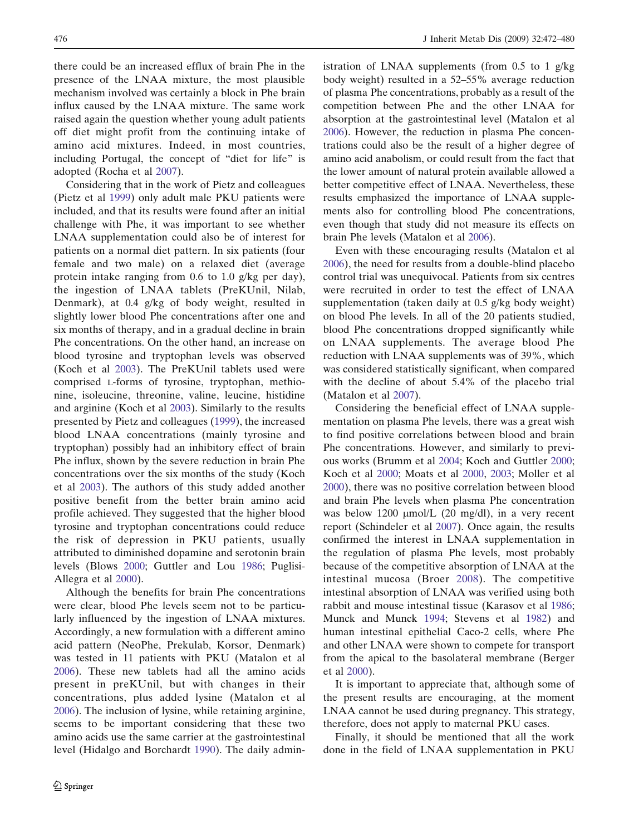there could be an increased efflux of brain Phe in the presence of the LNAA mixture, the most plausible mechanism involved was certainly a block in Phe brain influx caused by the LNAA mixture. The same work raised again the question whether young adult patients off diet might profit from the continuing intake of amino acid mixtures. Indeed, in most countries, including Portugal, the concept of "diet for life" is adopted (Rocha et al [2007\)](#page-7-0).

Considering that in the work of Pietz and colleagues (Pietz et al [1999\)](#page-7-0) only adult male PKU patients were included, and that its results were found after an initial challenge with Phe, it was important to see whether LNAA supplementation could also be of interest for patients on a normal diet pattern. In six patients (four female and two male) on a relaxed diet (average protein intake ranging from 0.6 to 1.0 g/kg per day), the ingestion of LNAA tablets (PreKUnil, Nilab, Denmark), at 0.4 g/kg of body weight, resulted in slightly lower blood Phe concentrations after one and six months of therapy, and in a gradual decline in brain Phe concentrations. On the other hand, an increase on blood tyrosine and tryptophan levels was observed (Koch et al [2003](#page-6-0)). The PreKUnil tablets used were comprised L-forms of tyrosine, tryptophan, methionine, isoleucine, threonine, valine, leucine, histidine and arginine (Koch et al [2003\)](#page-6-0). Similarly to the results presented by Pietz and colleagues [\(1999](#page-7-0)), the increased blood LNAA concentrations (mainly tyrosine and tryptophan) possibly had an inhibitory effect of brain Phe influx, shown by the severe reduction in brain Phe concentrations over the six months of the study (Koch et al [2003\)](#page-6-0). The authors of this study added another positive benefit from the better brain amino acid profile achieved. They suggested that the higher blood tyrosine and tryptophan concentrations could reduce the risk of depression in PKU patients, usually attributed to diminished dopamine and serotonin brain levels (Blows [2000](#page-6-0); Guttler and Lou [1986;](#page-6-0) Puglisi-Allegra et al [2000\)](#page-7-0).

Although the benefits for brain Phe concentrations were clear, blood Phe levels seem not to be particularly influenced by the ingestion of LNAA mixtures. Accordingly, a new formulation with a different amino acid pattern (NeoPhe, Prekulab, Korsor, Denmark) was tested in 11 patients with PKU (Matalon et al [2006\)](#page-7-0). These new tablets had all the amino acids present in preKUnil, but with changes in their concentrations, plus added lysine (Matalon et al [2006\)](#page-7-0). The inclusion of lysine, while retaining arginine, seems to be important considering that these two amino acids use the same carrier at the gastrointestinal level (Hidalgo and Borchardt [1990\)](#page-6-0). The daily administration of LNAA supplements (from 0.5 to 1 g/kg body weight) resulted in a 52–55% average reduction of plasma Phe concentrations, probably as a result of the competition between Phe and the other LNAA for absorption at the gastrointestinal level (Matalon et al [2006\)](#page-7-0). However, the reduction in plasma Phe concentrations could also be the result of a higher degree of amino acid anabolism, or could result from the fact that the lower amount of natural protein available allowed a better competitive effect of LNAA. Nevertheless, these results emphasized the importance of LNAA supplements also for controlling blood Phe concentrations, even though that study did not measure its effects on brain Phe levels (Matalon et al [2006](#page-7-0)).

Even with these encouraging results (Matalon et al [2006](#page-7-0)), the need for results from a double-blind placebo control trial was unequivocal. Patients from six centres were recruited in order to test the effect of LNAA supplementation (taken daily at 0.5 g/kg body weight) on blood Phe levels. In all of the 20 patients studied, blood Phe concentrations dropped significantly while on LNAA supplements. The average blood Phe reduction with LNAA supplements was of 39%, which was considered statistically significant, when compared with the decline of about 5.4% of the placebo trial (Matalon et al [2007\)](#page-7-0).

Considering the beneficial effect of LNAA supplementation on plasma Phe levels, there was a great wish to find positive correlations between blood and brain Phe concentrations. However, and similarly to previous works (Brumm et al [2004](#page-6-0); Koch and Guttler [2000;](#page-6-0) Koch et al [2000](#page-6-0); Moats et al [2000](#page-7-0), [2003;](#page-7-0) Moller et al [2000](#page-7-0)), there was no positive correlation between blood and brain Phe levels when plasma Phe concentration was below 1200  $\mu$ mol/L (20 mg/dl), in a very recent report (Schindeler et al [2007\)](#page-7-0). Once again, the results confirmed the interest in LNAA supplementation in the regulation of plasma Phe levels, most probably because of the competitive absorption of LNAA at the intestinal mucosa (Broer [2008](#page-6-0)). The competitive intestinal absorption of LNAA was verified using both rabbit and mouse intestinal tissue (Karasov et al [1986;](#page-6-0) Munck and Munck [1994;](#page-7-0) Stevens et al [1982](#page-7-0)) and human intestinal epithelial Caco-2 cells, where Phe and other LNAA were shown to compete for transport from the apical to the basolateral membrane (Berger et al [2000\)](#page-6-0).

It is important to appreciate that, although some of the present results are encouraging, at the moment LNAA cannot be used during pregnancy. This strategy, therefore, does not apply to maternal PKU cases.

Finally, it should be mentioned that all the work done in the field of LNAA supplementation in PKU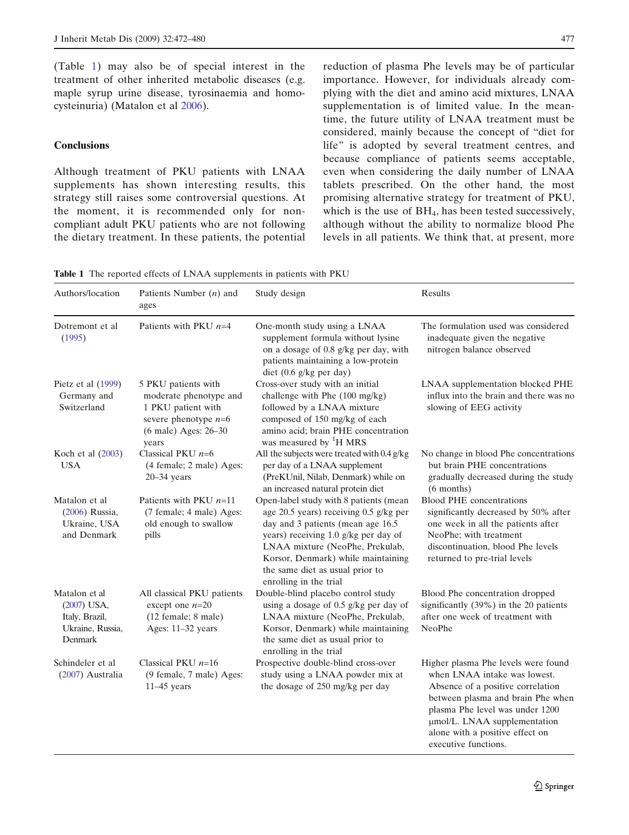(Table 1) may also be of special interest in the treatment of other inherited metabolic diseases (e.g. maple syrup urine disease, tyrosinaemia and homocysteinuria) (Matalon et al [2006\)](#page-7-0).

## **Conclusions**

Although treatment of PKU patients with LNAA supplements has shown interesting results, this strategy still raises some controversial questions. At the moment, it is recommended only for noncompliant adult PKU patients who are not following the dietary treatment. In these patients, the potential time, the future utility of LNAA treatment must be considered, mainly because the concept of "diet for life" is adopted by several treatment centres, and because compliance of patients seems acceptable, even when considering the daily number of LNAA tablets prescribed. On the other hand, the most promising alternative strategy for treatment of PKU, which is the use of  $BH<sub>4</sub>$ , has been tested successively, although without the ability to normalize blood Phe levels in all patients. We think that, at present, more

Table 1 The reported effects of LNAA supplements in patients with PKU

| Authors/location                                                              | Patients Number $(n)$ and<br>ages                                                                                              | Study design                                                                                                                                                                                                                                                                                        | Results                                                                                                                                                                                                                                                                     |
|-------------------------------------------------------------------------------|--------------------------------------------------------------------------------------------------------------------------------|-----------------------------------------------------------------------------------------------------------------------------------------------------------------------------------------------------------------------------------------------------------------------------------------------------|-----------------------------------------------------------------------------------------------------------------------------------------------------------------------------------------------------------------------------------------------------------------------------|
| Dotremont et al<br>(1995)                                                     | Patients with PKU $n=4$                                                                                                        | One-month study using a LNAA<br>supplement formula without lysine<br>on a dosage of 0.8 g/kg per day, with<br>patients maintaining a low-protein<br>diet $(0.6 \text{ g/kg} \text{ per day})$                                                                                                       | The formulation used was considered<br>inadequate given the negative<br>nitrogen balance observed                                                                                                                                                                           |
| Pietz et al (1999)<br>Germany and<br>Switzerland                              | 5 PKU patients with<br>moderate phenotype and<br>1 PKU patient with<br>severe phenotype $n=6$<br>(6 male) Ages: 26-30<br>years | Cross-over study with an initial<br>challenge with Phe (100 mg/kg)<br>followed by a LNAA mixture<br>composed of 150 mg/kg of each<br>amino acid; brain PHE concentration<br>was measured by <sup>1</sup> H MRS                                                                                      | LNAA supplementation blocked PHE<br>influx into the brain and there was no<br>slowing of EEG activity                                                                                                                                                                       |
| Koch et al (2003)<br><b>USA</b>                                               | Classical PKU $n=6$<br>(4 female; 2 male) Ages:<br>$20-34$ years                                                               | All the subjects were treated with 0.4 g/kg<br>per day of a LNAA supplement<br>(PreKUnil, Nilab, Denmark) while on<br>an increased natural protein diet                                                                                                                                             | No change in blood Phe concentrations<br>but brain PHE concentrations<br>gradually decreased during the study<br>$(6$ months)                                                                                                                                               |
| Matalon et al<br>(2006) Russia,<br>Ukraine, USA<br>and Denmark                | Patients with PKU $n=11$<br>(7 female; 4 male) Ages:<br>old enough to swallow<br>pills                                         | Open-label study with 8 patients (mean<br>age 20.5 years) receiving 0.5 g/kg per<br>day and 3 patients (mean age 16.5<br>years) receiving 1.0 g/kg per day of<br>LNAA mixture (NeoPhe, Prekulab,<br>Korsor, Denmark) while maintaining<br>the same diet as usual prior to<br>enrolling in the trial | <b>Blood PHE</b> concentrations<br>significantly decreased by 50% after<br>one week in all the patients after<br>NeoPhe; with treatment<br>discontinuation, blood Phe levels<br>returned to pre-trial levels                                                                |
| Matalon et al<br>(2007) USA,<br>Italy, Brazil,<br>Ukraine, Russia,<br>Denmark | All classical PKU patients<br>except one $n=20$<br>(12 female; 8 male)<br>Ages: 11-32 years                                    | Double-blind placebo control study<br>using a dosage of 0.5 g/kg per day of<br>LNAA mixture (NeoPhe, Prekulab,<br>Korsor, Denmark) while maintaining<br>the same diet as usual prior to<br>enrolling in the trial                                                                                   | Blood Phe concentration dropped<br>significantly (39%) in the 20 patients<br>after one week of treatment with<br>NeoPhe                                                                                                                                                     |
| Schindeler et al<br>(2007) Australia                                          | Classical PKU $n=16$<br>(9 female, 7 male) Ages:<br>$11-45$ years                                                              | Prospective double-blind cross-over<br>study using a LNAA powder mix at<br>the dosage of 250 mg/kg per day                                                                                                                                                                                          | Higher plasma Phe levels were found<br>when LNAA intake was lowest.<br>Absence of a positive correlation<br>between plasma and brain Phe when<br>plasma Phe level was under 1200<br>umol/L. LNAA supplementation<br>alone with a positive effect on<br>executive functions. |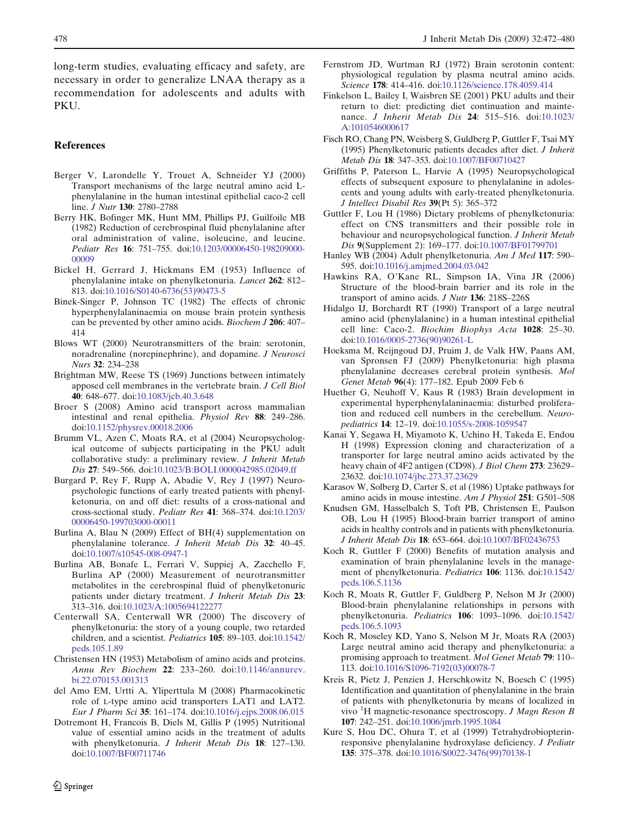<span id="page-6-0"></span>long-term studies, evaluating efficacy and safety, are necessary in order to generalize LNAA therapy as a recommendation for adolescents and adults with PKU.

## References

- Berger V, Larondelle Y, Trouet A, Schneider YJ (2000) Transport mechanisms of the large neutral amino acid Lphenylalanine in the human intestinal epithelial caco-2 cell line. *J Nutr* **130**: 2780–2788
- Berry HK, Bofinger MK, Hunt MM, Phillips PJ, Guilfoile MB (1982) Reduction of cerebrospinal fluid phenylalanine after oral administration of valine, isoleucine, and leucine. Pediatr Res 16: 751–755. doi:[10.1203/00006450-198209000-](http://dx.doi.org/10.1203/00006450-198209000-00009) [00009](http://dx.doi.org/10.1203/00006450-198209000-00009)
- Bickel H, Gerrard J, Hickmans EM (1953) Influence of phenylalanine intake on phenylketonuria. Lancet 262: 812– 813. doi[:10.1016/S0140-6736\(53\)90473-5](http://dx.doi.org/10.1016/S0140-6736(53)90473-5)
- Binek-Singer P, Johnson TC (1982) The effects of chronic hyperphenylalaninaemia on mouse brain protein synthesis can be prevented by other amino acids. Biochem J 206: 407– 414
- Blows WT (2000) Neurotransmitters of the brain: serotonin, noradrenaline (norepinephrine), and dopamine. J Neurosci Nurs 32: 234–238
- Brightman MW, Reese TS (1969) Junctions between intimately apposed cell membranes in the vertebrate brain. J Cell Biol 40: 648–677. doi:[10.1083/jcb.40.3.648](http://dx.doi.org/10.1083/jcb.40.3.648)
- Broer S (2008) Amino acid transport across mammalian intestinal and renal epithelia. Physiol Rev 88: 249–286. doi:[10.1152/physrev.00018.2006](http://dx.doi.org/10.1152/physrev.00018.2006)
- Brumm VL, Azen C, Moats RA, et al (2004) Neuropsychological outcome of subjects participating in the PKU adult collaborative study: a preliminary review. J Inherit Metab Dis 27: 549–566. doi[:10.1023/B:BOLI.0000042985.02049.ff](http://dx.doi.org/10.1023/B:BOLI.0000042985.02049.ff)
- Burgard P, Rey F, Rupp A, Abadie V, Rey J (1997) Neuropsychologic functions of early treated patients with phenylketonuria, on and off diet: results of a cross-national and cross-sectional study. Pediatr Res 41: 368–374. doi[:10.1203/](http://dx.doi.org/10.1203/00006450-199703000-00011) [00006450-199703000-00011](http://dx.doi.org/10.1203/00006450-199703000-00011)
- Burlina A, Blau N (2009) Effect of BH(4) supplementation on phenylalanine tolerance. J Inherit Metab Dis 32: 40–45. doi:[10.1007/s10545-008-0947-1](http://dx.doi.org/10.1007/s10545-008-0947-1)
- Burlina AB, Bonafe L, Ferrari V, Suppiej A, Zacchello F, Burlina AP (2000) Measurement of neurotransmitter metabolites in the cerebrospinal fluid of phenylketonuric patients under dietary treatment. J Inherit Metab Dis 23: 313–316. doi[:10.1023/A:1005694122277](http://dx.doi.org/10.1023/A:1005694122277)
- Centerwall SA, Centerwall WR (2000) The discovery of phenylketonuria: the story of a young couple, two retarded children, and a scientist. Pediatrics 105: 89–103. doi[:10.1542/](http://dx.doi.org/10.1542/peds.105.1.89) [peds.105.1.89](http://dx.doi.org/10.1542/peds.105.1.89)
- Christensen HN (1953) Metabolism of amino acids and proteins. Annu Rev Biochem 22: 233–260. doi[:10.1146/annurev.](http://dx.doi.org/10.1146/annurev.bi.22.070153.001313) [bi.22.070153.001313](http://dx.doi.org/10.1146/annurev.bi.22.070153.001313)
- del Amo EM, Urtti A, Yliperttula M (2008) Pharmacokinetic role of L-type amino acid transporters LAT1 and LAT2. Eur J Pharm Sci 35: 161–174. doi[:10.1016/j.ejps.2008.06.015](http://dx.doi.org/10.1016/j.ejps.2008.06.015)
- Dotremont H, Francois B, Diels M, Gillis P (1995) Nutritional value of essential amino acids in the treatment of adults with phenylketonuria. J Inherit Metab Dis 18: 127-130. doi:[10.1007/BF00711746](http://dx.doi.org/10.1007/BF00711746)
- Fernstrom JD, Wurtman RJ (1972) Brain serotonin content: physiological regulation by plasma neutral amino acids. Science 178: 414–416. doi:[10.1126/science.178.4059.414](http://dx.doi.org/10.1126/science.178.4059.414)
- Finkelson L, Bailey I, Waisbren SE (2001) PKU adults and their return to diet: predicting diet continuation and maintenance. J Inherit Metab Dis 24: 515–516. doi:[10.1023/](http://dx.doi.org/10.1023/A:1010546000617) [A:1010546000617](http://dx.doi.org/10.1023/A:1010546000617)
- Fisch RO, Chang PN, Weisberg S, Guldberg P, Guttler F, Tsai MY (1995) Phenylketonuric patients decades after diet. J Inherit Metab Dis 18: 347–353. doi[:10.1007/BF00710427](http://dx.doi.org/10.1007/BF00710427)
- Griffiths P, Paterson L, Harvie A (1995) Neuropsychological effects of subsequent exposure to phenylalanine in adolescents and young adults with early-treated phenylketonuria. J Intellect Disabil Res 39(Pt 5): 365–372
- Guttler F, Lou H (1986) Dietary problems of phenylketonuria: effect on CNS transmitters and their possible role in behaviour and neuropsychological function. J Inherit Metab Dis 9(Supplement 2): 169–177. doi:[10.1007/BF01799701](http://dx.doi.org/10.1007/BF01799701)
- Hanley WB (2004) Adult phenylketonuria. Am J Med 117: 590– 595. doi:[10.1016/j.amjmed.2004.03.042](http://dx.doi.org/10.1016/j.amjmed.2004.03.042)
- Hawkins RA, O'Kane RL, Simpson IA, Vina JR (2006) Structure of the blood-brain barrier and its role in the transport of amino acids. J Nutr 136: 218S–226S
- Hidalgo IJ, Borchardt RT (1990) Transport of a large neutral amino acid (phenylalanine) in a human intestinal epithelial cell line: Caco-2. Biochim Biophys Acta 1028: 25–30. doi:[10.1016/0005-2736\(90\)90261-L](http://dx.doi.org/10.1016/0005-2736(90)90261-L)
- Hoeksma M, Reijngoud DJ, Pruim J, de Valk HW, Paans AM, van Spronsen FJ (2009) Phenylketonuria: high plasma phenylalanine decreases cerebral protein synthesis. Mol Genet Metab 96(4): 177–182. Epub 2009 Feb 6
- Huether G, Neuhoff V, Kaus R (1983) Brain development in experimental hyperphenylalaninaemia: disturbed proliferation and reduced cell numbers in the cerebellum. Neuropediatrics 14: 12–19. doi[:10.1055/s-2008-1059547](http://dx.doi.org/10.1055/s-2008-1059547)
- Kanai Y, Segawa H, Miyamoto K, Uchino H, Takeda E, Endou H (1998) Expression cloning and characterization of a transporter for large neutral amino acids activated by the heavy chain of 4F2 antigen (CD98). J Biol Chem 273: 23629– 23632. doi[:10.1074/jbc.273.37.23629](http://dx.doi.org/10.1074/jbc.273.37.23629)
- Karasov W, Solberg D, Carter S, et al (1986) Uptake pathways for amino acids in mouse intestine. Am J Physiol 251: G501–508
- Knudsen GM, Hasselbalch S, Toft PB, Christensen E, Paulson OB, Lou H (1995) Blood-brain barrier transport of amino acids in healthy controls and in patients with phenylketonuria. J Inherit Metab Dis 18: 653–664. doi[:10.1007/BF02436753](http://dx.doi.org/10.1007/BF02436753)
- Koch R, Guttler F (2000) Benefits of mutation analysis and examination of brain phenylalanine levels in the management of phenylketonuria. Pediatrics 106: 1136. doi[:10.1542/](http://dx.doi.org/10.1542/peds.106.5.1136) [peds.106.5.1136](http://dx.doi.org/10.1542/peds.106.5.1136)
- Koch R, Moats R, Guttler F, Guldberg P, Nelson M Jr (2000) Blood-brain phenylalanine relationships in persons with phenylketonuria. Pediatrics 106: 1093–1096. doi:[10.1542/](http://dx.doi.org/10.1542/peds.106.5.1093) [peds.106.5.1093](http://dx.doi.org/10.1542/peds.106.5.1093)
- Koch R, Moseley KD, Yano S, Nelson M Jr, Moats RA (2003) Large neutral amino acid therapy and phenylketonuria: a promising approach to treatment. Mol Genet Metab 79: 110– 113. doi:[10.1016/S1096-7192\(03\)00078-7](http://dx.doi.org/10.1016/S1096-7192(03)00078-7)
- Kreis R, Pietz J, Penzien J, Herschkowitz N, Boesch C (1995) Identification and quantitation of phenylalanine in the brain of patients with phenylketonuria by means of localized in vivo <sup>1</sup>H magnetic-resonance spectroscopy. J Magn Reson B 107: 242–251. doi[:10.1006/jmrb.1995.1084](http://dx.doi.org/10.1006/jmrb.1995.1084)
- Kure S, Hou DC, Ohura T, et al (1999) Tetrahydrobiopterinresponsive phenylalanine hydroxylase deficiency. J Pediatr 135: 375–378. doi[:10.1016/S0022-3476\(99\)70138-1](http://dx.doi.org/10.1016/S0022-3476(99)70138-1)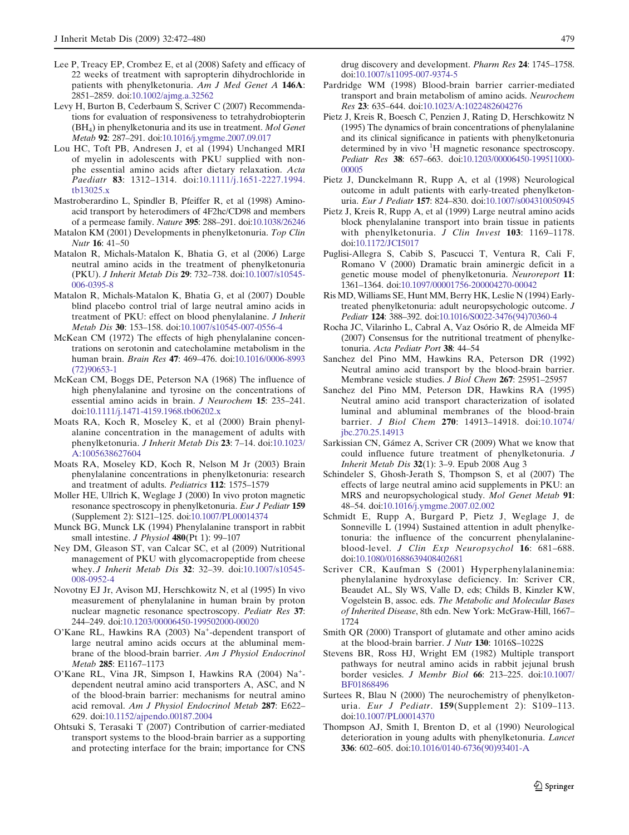- <span id="page-7-0"></span>Lee P, Treacy EP, Crombez E, et al (2008) Safety and efficacy of 22 weeks of treatment with sapropterin dihydrochloride in patients with phenylketonuria. Am J Med Genet A 146A: 2851–2859. doi:[10.1002/ajmg.a.32562](http://dx.doi.org/10.1002/ajmg.a.32562)
- Levy H, Burton B, Cederbaum S, Scriver C (2007) Recommendations for evaluation of responsiveness to tetrahydrobiopterin (BH4) in phenylketonuria and its use in treatment. Mol Genet Metab 92: 287–291. doi:[10.1016/j.ymgme.2007.09.017](http://dx.doi.org/10.1016/j.ymgme.2007.09.017)
- Lou HC, Toft PB, Andresen J, et al (1994) Unchanged MRI of myelin in adolescents with PKU supplied with nonphe essential amino acids after dietary relaxation. Acta Paediatr 83: 1312–1314. doi:[10.1111/j.1651-2227.1994.](http://dx.doi.org/10.1111/j.1651-2227.1994.tb13025.x) [tb13025.x](http://dx.doi.org/10.1111/j.1651-2227.1994.tb13025.x)
- Mastroberardino L, Spindler B, Pfeiffer R, et al (1998) Aminoacid transport by heterodimers of 4F2hc/CD98 and members of a permease family. Nature 395: 288–291. doi[:10.1038/26246](http://dx.doi.org/10.1038/26246)
- Matalon KM (2001) Developments in phenylketonuria. Top Clin Nutr 16: 41–50
- Matalon R, Michals-Matalon K, Bhatia G, et al (2006) Large neutral amino acids in the treatment of phenylketonuria (PKU). J Inherit Metab Dis 29: 732–738. doi:[10.1007/s10545-](http://dx.doi.org/10.1007/s10545-006-0395-8) [006-0395-8](http://dx.doi.org/10.1007/s10545-006-0395-8)
- Matalon R, Michals-Matalon K, Bhatia G, et al (2007) Double blind placebo control trial of large neutral amino acids in treatment of PKU: effect on blood phenylalanine. J Inherit Metab Dis 30: 153–158. doi[:10.1007/s10545-007-0556-4](http://dx.doi.org/10.1007/s10545-007-0556-4)
- McKean CM (1972) The effects of high phenylalanine concentrations on serotonin and catecholamine metabolism in the human brain. Brain Res 47: 469–476. doi:[10.1016/0006-8993](http://dx.doi.org/10.1016/0006-8993(72)90653-1) [\(72\)90653-1](http://dx.doi.org/10.1016/0006-8993(72)90653-1)
- McKean CM, Boggs DE, Peterson NA (1968) The influence of high phenylalanine and tyrosine on the concentrations of essential amino acids in brain. J Neurochem 15: 235–241. doi:[10.1111/j.1471-4159.1968.tb06202.x](http://dx.doi.org/10.1111/j.1471-4159.1968.tb06202.x)
- Moats RA, Koch R, Moseley K, et al (2000) Brain phenylalanine concentration in the management of adults with phenylketonuria. J Inherit Metab Dis 23: 7–14. doi:[10.1023/](http://dx.doi.org/10.1023/A:1005638627604) [A:1005638627604](http://dx.doi.org/10.1023/A:1005638627604)
- Moats RA, Moseley KD, Koch R, Nelson M Jr (2003) Brain phenylalanine concentrations in phenylketonuria: research and treatment of adults. Pediatrics 112: 1575–1579
- Moller HE, Ullrich K, Weglage J (2000) In vivo proton magnetic resonance spectroscopy in phenylketonuria. Eur J Pediatr 159 (Supplement 2): S121–125. doi[:10.1007/PL00014374](http://dx.doi.org/10.1007/PL00014374)
- Munck BG, Munck LK (1994) Phenylalanine transport in rabbit small intestine. *J Physiol* 480(Pt 1): 99-107
- Ney DM, Gleason ST, van Calcar SC, et al (2009) Nutritional management of PKU with glycomacropeptide from cheese whey. J Inherit Metab Dis 32: 32-39. doi:[10.1007/s10545-](http://dx.doi.org/10.1007/s10545-008-0952-4) [008-0952-4](http://dx.doi.org/10.1007/s10545-008-0952-4)
- Novotny EJ Jr, Avison MJ, Herschkowitz N, et al (1995) In vivo measurement of phenylalanine in human brain by proton nuclear magnetic resonance spectroscopy. Pediatr Res 37: 244–249. doi[:10.1203/00006450-199502000-00020](http://dx.doi.org/10.1203/00006450-199502000-00020)
- O'Kane RL, Hawkins RA (2003) Na<sup>+</sup>-dependent transport of large neutral amino acids occurs at the abluminal membrane of the blood-brain barrier. Am J Physiol Endocrinol Metab 285: E1167–1173
- O'Kane RL, Vina JR, Simpson I, Hawkins RA (2004) Na<sup>+</sup>dependent neutral amino acid transporters A, ASC, and N of the blood-brain barrier: mechanisms for neutral amino acid removal. Am J Physiol Endocrinol Metab 287: E622– 629. doi[:10.1152/ajpendo.00187.2004](http://dx.doi.org/10.1152/ajpendo.00187.2004)
- Ohtsuki S, Terasaki T (2007) Contribution of carrier-mediated transport systems to the blood-brain barrier as a supporting and protecting interface for the brain; importance for CNS

drug discovery and development. Pharm Res 24: 1745–1758. doi:[10.1007/s11095-007-9374-5](http://dx.doi.org/10.1007/s11095-007-9374-5)

- Pardridge WM (1998) Blood-brain barrier carrier-mediated transport and brain metabolism of amino acids. Neurochem Res 23: 635–644. doi:[10.1023/A:1022482604276](http://dx.doi.org/10.1023/A:1022482604276)
- Pietz J, Kreis R, Boesch C, Penzien J, Rating D, Herschkowitz N (1995) The dynamics of brain concentrations of phenylalanine and its clinical significance in patients with phenylketonuria determined by in vivo <sup>1</sup>H magnetic resonance spectroscopy. Pediatr Res 38: 657–663. doi:[10.1203/00006450-199511000-](http://dx.doi.org/10.1203/00006450-199511000-00005) [00005](http://dx.doi.org/10.1203/00006450-199511000-00005)
- Pietz J, Dunckelmann R, Rupp A, et al (1998) Neurological outcome in adult patients with early-treated phenylketonuria. Eur J Pediatr 157: 824–830. doi[:10.1007/s004310050945](http://dx.doi.org/10.1007/s004310050945)
- Pietz J, Kreis R, Rupp A, et al (1999) Large neutral amino acids block phenylalanine transport into brain tissue in patients with phenylketonuria. J Clin Invest 103: 1169-1178. doi:[10.1172/JCI5017](http://dx.doi.org/10.1172/JCI5017)
- Puglisi-Allegra S, Cabib S, Pascucci T, Ventura R, Cali F, Romano V (2000) Dramatic brain aminergic deficit in a genetic mouse model of phenylketonuria. Neuroreport 11: 1361–1364. doi:[10.1097/00001756-200004270-00042](http://dx.doi.org/10.1097/00001756-200004270-00042)
- Ris MD, Williams SE, Hunt MM, Berry HK, Leslie N (1994) Earlytreated phenylketonuria: adult neuropsychologic outcome. J Pediatr 124: 388–392. doi[:10.1016/S0022-3476\(94\)70360-4](http://dx.doi.org/10.1016/S0022-3476(94)70360-4)
- Rocha JC, Vilarinho L, Cabral A, Vaz Osório R, de Almeida MF (2007) Consensus for the nutritional treatment of phenylketonuria. Acta Pediatr Port 38: 44–54
- Sanchez del Pino MM, Hawkins RA, Peterson DR (1992) Neutral amino acid transport by the blood-brain barrier. Membrane vesicle studies. J Biol Chem 267: 25951–25957
- Sanchez del Pino MM, Peterson DR, Hawkins RA (1995) Neutral amino acid transport characterization of isolated luminal and abluminal membranes of the blood-brain barrier. J Biol Chem 270: 14913–14918. doi[:10.1074/](http://dx.doi.org/10.1074/jbc.270.25.14913) [jbc.270.25.14913](http://dx.doi.org/10.1074/jbc.270.25.14913)
- Sarkissian CN, Gámez A, Scriver CR (2009) What we know that could influence future treatment of phenylketonuria. J Inherit Metab Dis 32(1): 3–9. Epub 2008 Aug 3
- Schindeler S, Ghosh-Jerath S, Thompson S, et al (2007) The effects of large neutral amino acid supplements in PKU: an MRS and neuropsychological study. Mol Genet Metab 91: 48–54. doi[:10.1016/j.ymgme.2007.02.002](http://dx.doi.org/10.1016/j.ymgme.2007.02.002)
- Schmidt E, Rupp A, Burgard P, Pietz J, Weglage J, de Sonneville L (1994) Sustained attention in adult phenylketonuria: the influence of the concurrent phenylalanineblood-level. J Clin Exp Neuropsychol 16: 681–688. doi:[10.1080/01688639408402681](http://dx.doi.org/10.1080/01688639408402681)
- Scriver CR, Kaufman S (2001) Hyperphenylalaninemia: phenylalanine hydroxylase deficiency. In: Scriver CR, Beaudet AL, Sly WS, Valle D, eds; Childs B, Kinzler KW, Vogelstein B, assoc. eds. The Metabolic and Molecular Bases of Inherited Disease, 8th edn. New York: McGraw-Hill, 1667– 1724
- Smith QR (2000) Transport of glutamate and other amino acids at the blood-brain barrier. J Nutr 130: 1016S–1022S
- Stevens BR, Ross HJ, Wright EM (1982) Multiple transport pathways for neutral amino acids in rabbit jejunal brush border vesicles. J Membr Biol 66: 213–225. doi[:10.1007/](http://dx.doi.org/10.1007/BF01868496) [BF01868496](http://dx.doi.org/10.1007/BF01868496)
- Surtees R, Blau N (2000) The neurochemistry of phenylketonuria. Eur J Pediatr. 159(Supplement 2): S109-113. doi:[10.1007/PL00014370](http://dx.doi.org/10.1007/PL00014370)
- Thompson AJ, Smith I, Brenton D, et al (1990) Neurological deterioration in young adults with phenylketonuria. Lancet 336: 602–605. doi[:10.1016/0140-6736\(90\)93401-A](http://dx.doi.org/10.1016/0140-6736(90)93401-A)